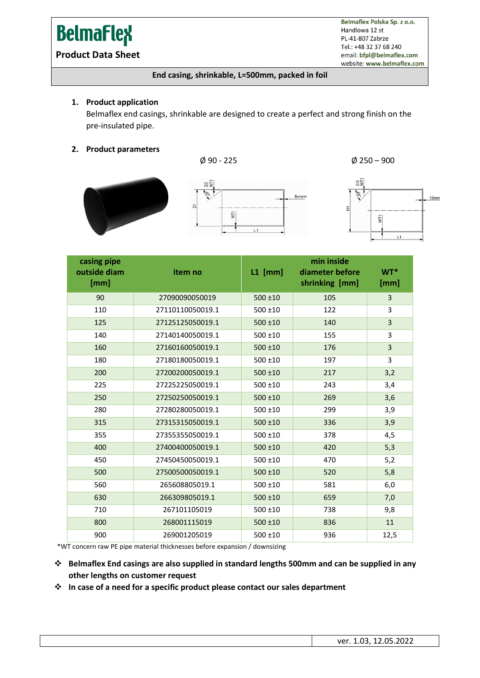# **BelmaFlex**

**Product Data Sheet**

Belmaflex Polska Sp. z o.o. Handlowa 12 st PL-41-807 Zabrze Tel.: +48 32 37 68 240 email: bfpl@belmaflex.com website: www.belmaflex.com

#### **End casing, shrinkable, L=500mm, packed in foil**

#### **1. Product application**

Belmaflex end casings, shrinkable are designed to create a perfect and strong finish on the pre-insulated pipe.

#### **2. Product parameters**





 $\phi$  90 - 225  $\phi$  250 – 900



| casing pipe<br>outside diam<br>[mm] | item no          | $L1$ [mm]    | min inside<br>diameter before<br>shrinking [mm] | $WT^*$<br>[mm] |
|-------------------------------------|------------------|--------------|-------------------------------------------------|----------------|
| 90                                  | 27090090050019   | $500 + 10$   | 105                                             | 3              |
| 110                                 | 27110110050019.1 | $500 \pm 10$ | 122                                             | 3              |
| 125                                 | 27125125050019.1 | $500 \pm 10$ | 140                                             | 3              |
| 140                                 | 27140140050019.1 | $500 \pm 10$ | 155                                             | 3              |
| 160                                 | 27160160050019.1 | $500 \pm 10$ | 176                                             | 3              |
| 180                                 | 27180180050019.1 | $500 \pm 10$ | 197                                             | 3              |
| 200                                 | 27200200050019.1 | $500 + 10$   | 217                                             | 3,2            |
| 225                                 | 27225225050019.1 | $500 \pm 10$ | 243                                             | 3,4            |
| 250                                 | 27250250050019.1 | $500 + 10$   | 269                                             | 3,6            |
| 280                                 | 27280280050019.1 | $500 + 10$   | 299                                             | 3,9            |
| 315                                 | 27315315050019.1 | $500 \pm 10$ | 336                                             | 3,9            |
| 355                                 | 27355355050019.1 | $500 + 10$   | 378                                             | 4,5            |
| 400                                 | 27400400050019.1 | $500 + 10$   | 420                                             | 5,3            |
| 450                                 | 27450450050019.1 | $500 \pm 10$ | 470                                             | 5,2            |
| 500                                 | 27500500050019.1 | $500 \pm 10$ | 520                                             | 5,8            |
| 560                                 | 265608805019.1   | $500 \pm 10$ | 581                                             | 6,0            |
| 630                                 | 266309805019.1   | $500 \pm 10$ | 659                                             | 7,0            |
| 710                                 | 267101105019     | $500 + 10$   | 738                                             | 9,8            |
| 800                                 | 268001115019     | $500 + 10$   | 836                                             | 11             |
| 900                                 | 269001205019     | 500 ±10      | 936                                             | 12,5           |

\*WT concern raw PE pipe material thicknesses before expansion / downsizing

❖ **Belmaflex End casings are also supplied in standard lengths 500mm and can be supplied in any other lengths on customer request** 

❖ **In case of a need for a specific product please contact our sales department**